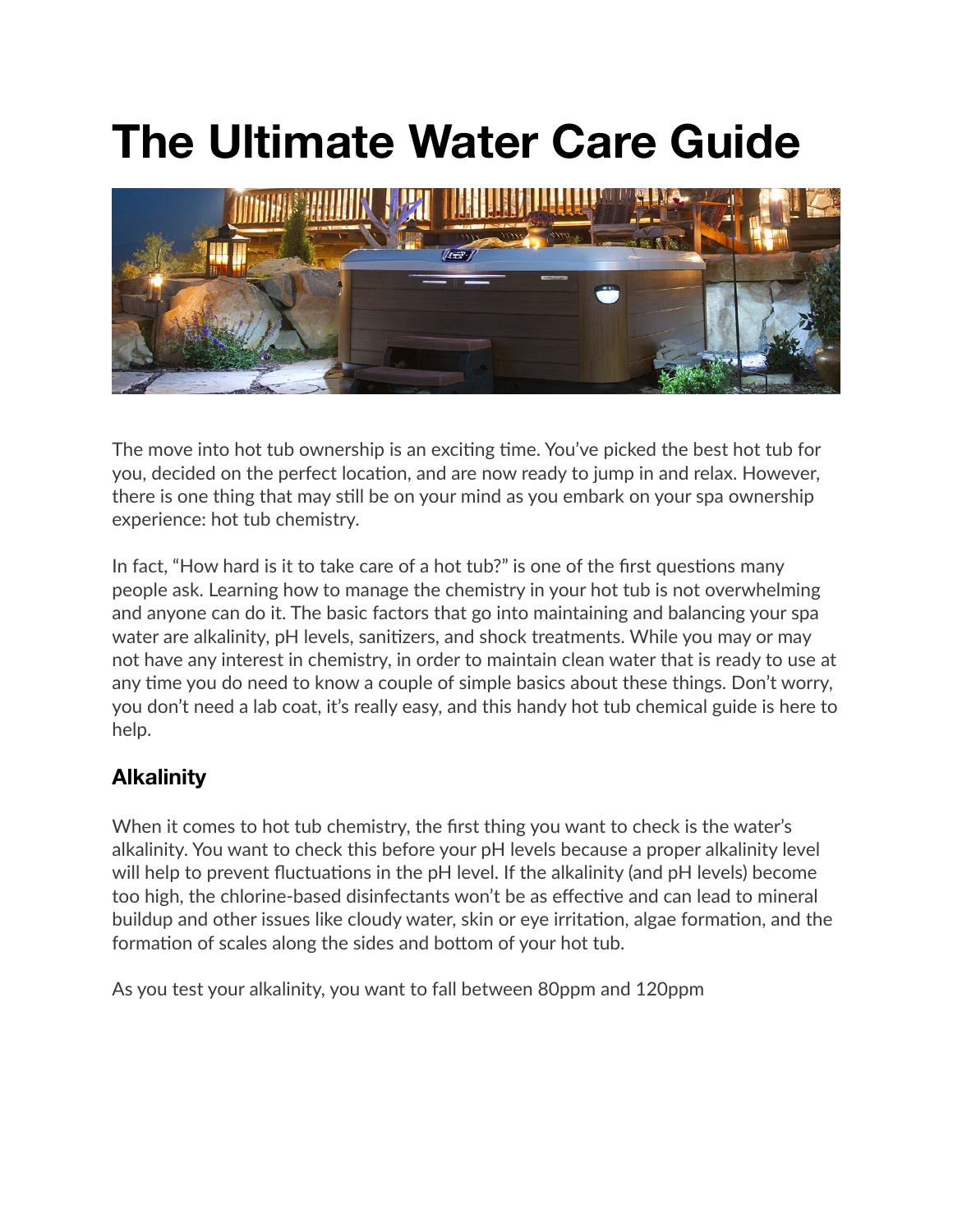# **The Ultimate Water Care Guide**



The move into hot tub ownership is an exciting time. You've picked the best hot tub for you, decided on the perfect location, and are now ready to jump in and relax. However, there is one thing that may still be on your mind as you embark on your spa ownership experience: hot tub chemistry.

In fact, "How hard is it to take care of a hot tub?" is one of the first questions many people ask. Learning how to manage the chemistry in your hot tub is not overwhelming and anyone can do it. The basic factors that go into maintaining and balancing your spa water are alkalinity, pH levels, sanitizers, and shock treatments. While you may or may not have any interest in chemistry, in order to maintain clean water that is ready to use at any time you do need to know a couple of simple basics about these things. Don't worry, you don't need a lab coat, it's really easy, and this handy hot tub chemical guide is here to help.

#### **Alkalinity**

When it comes to hot tub chemistry, the first thing you want to check is the water's alkalinity. You want to check this before your pH levels because a proper alkalinity level will help to prevent fluctuations in the pH level. If the alkalinity (and pH levels) become too high, the chlorine-based disinfectants won't be as effective and can lead to mineral buildup and other issues like cloudy water, skin or eye irritation, algae formation, and the formation of scales along the sides and bottom of your hot tub.

As you test your alkalinity, you want to fall between 80ppm and 120ppm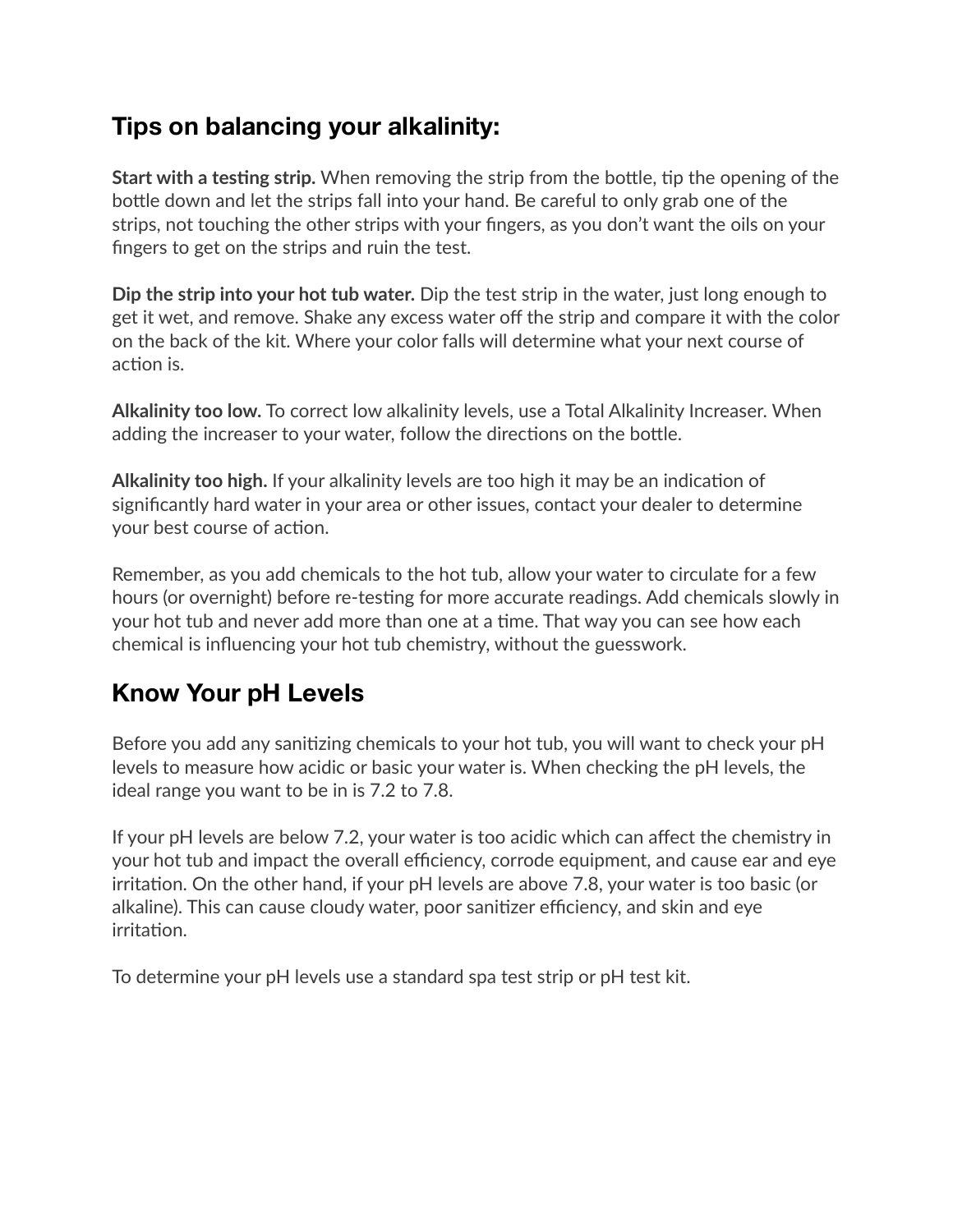## **Tips on balancing your alkalinity:**

**Start with a testing strip.** When removing the strip from the bottle, tip the opening of the bottle down and let the strips fall into your hand. Be careful to only grab one of the strips, not touching the other strips with your fingers, as you don't want the oils on your fingers to get on the strips and ruin the test.

**Dip the strip into your hot tub water.** Dip the test strip in the water, just long enough to get it wet, and remove. Shake any excess water off the strip and compare it with the color on the back of the kit. Where your color falls will determine what your next course of action is.

**Alkalinity too low.** To correct low alkalinity levels, use a Total Alkalinity Increaser. When adding the increaser to your water, follow the directions on the bottle.

**Alkalinity too high.** If your alkalinity levels are too high it may be an indication of significantly hard water in your area or other issues, contact your dealer to determine your best course of action.

Remember, as you add chemicals to the hot tub, allow your water to circulate for a few hours (or overnight) before re-testing for more accurate readings. Add chemicals slowly in your hot tub and never add more than one at a time. That way you can see how each chemical is influencing your hot tub chemistry, without the guesswork.

# **Know Your pH Levels**

Before you add any sanitizing chemicals to your hot tub, you will want to check your pH levels to measure how acidic or basic your water is. When checking the pH levels, the ideal range you want to be in is 7.2 to 7.8.

If your pH levels are below 7.2, your water is too acidic which can affect the chemistry in your hot tub and impact the overall efficiency, corrode equipment, and cause ear and eye irritation. On the other hand, if your pH levels are above 7.8, your water is too basic (or alkaline). This can cause cloudy water, poor sanitizer efficiency, and skin and eye irritation.

To determine your pH levels use a standard spa test strip or pH test kit.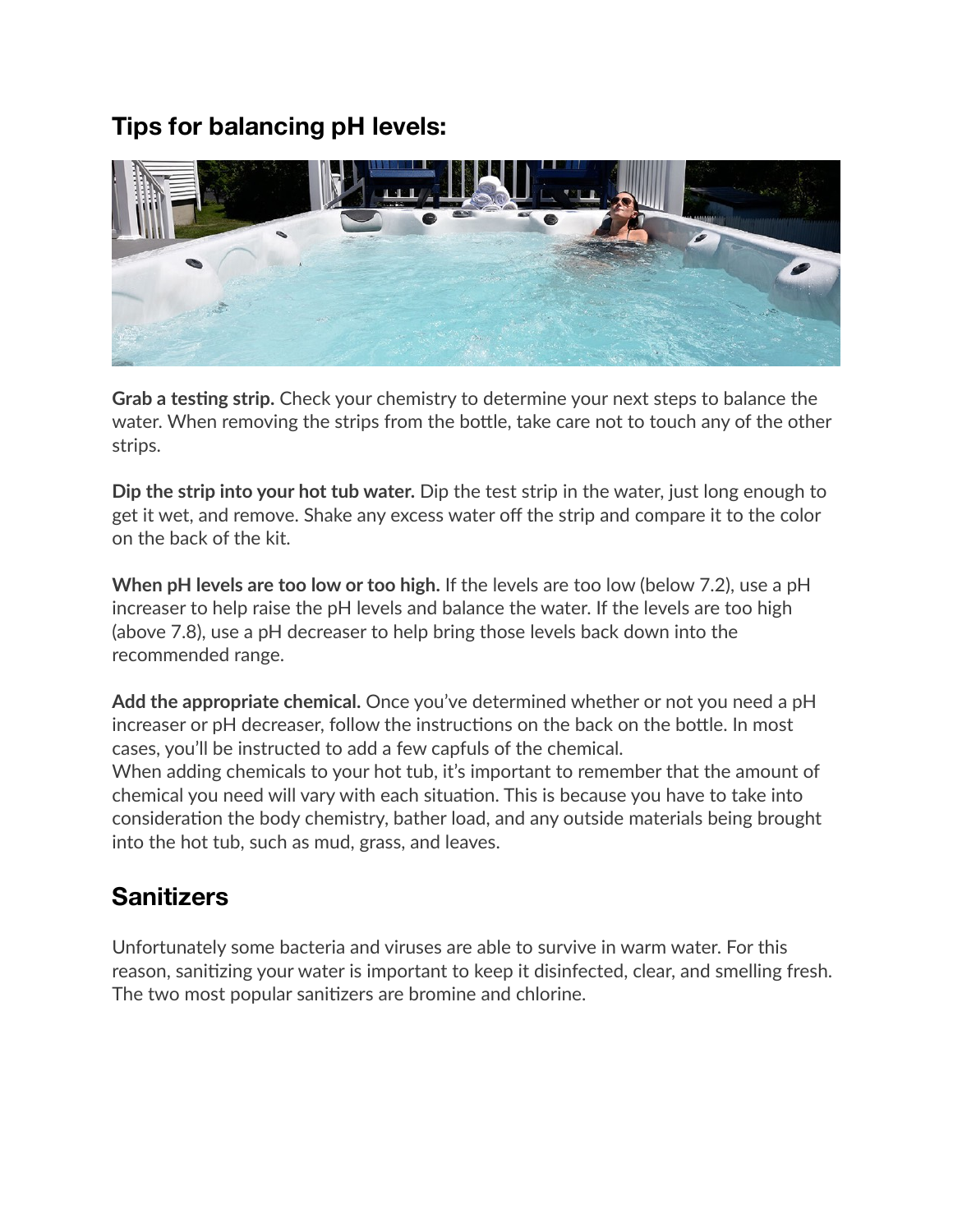## **Tips for balancing pH levels:**



**Grab a testing strip.** Check your chemistry to determine your next steps to balance the water. When removing the strips from the bottle, take care not to touch any of the other strips.

**Dip the strip into your hot tub water.** Dip the test strip in the water, just long enough to get it wet, and remove. Shake any excess water off the strip and compare it to the color on the back of the kit.

**When pH levels are too low or too high.** If the levels are too low (below 7.2), use a pH increaser to help raise the pH levels and balance the water. If the levels are too high (above 7.8), use a pH decreaser to help bring those levels back down into the recommended range.

**Add the appropriate chemical.** Once you've determined whether or not you need a pH increaser or pH decreaser, follow the instructions on the back on the bottle. In most cases, you'll be instructed to add a few capfuls of the chemical. When adding chemicals to your hot tub, it's important to remember that the amount of chemical you need will vary with each situation. This is because you have to take into consideration the body chemistry, bather load, and any outside materials being brought into the hot tub, such as mud, grass, and leaves.

# **Sanitizers**

Unfortunately some bacteria and viruses are able to survive in warm water. For this reason, sanitizing your water is important to keep it disinfected, clear, and smelling fresh. The two most popular sanitizers are bromine and chlorine.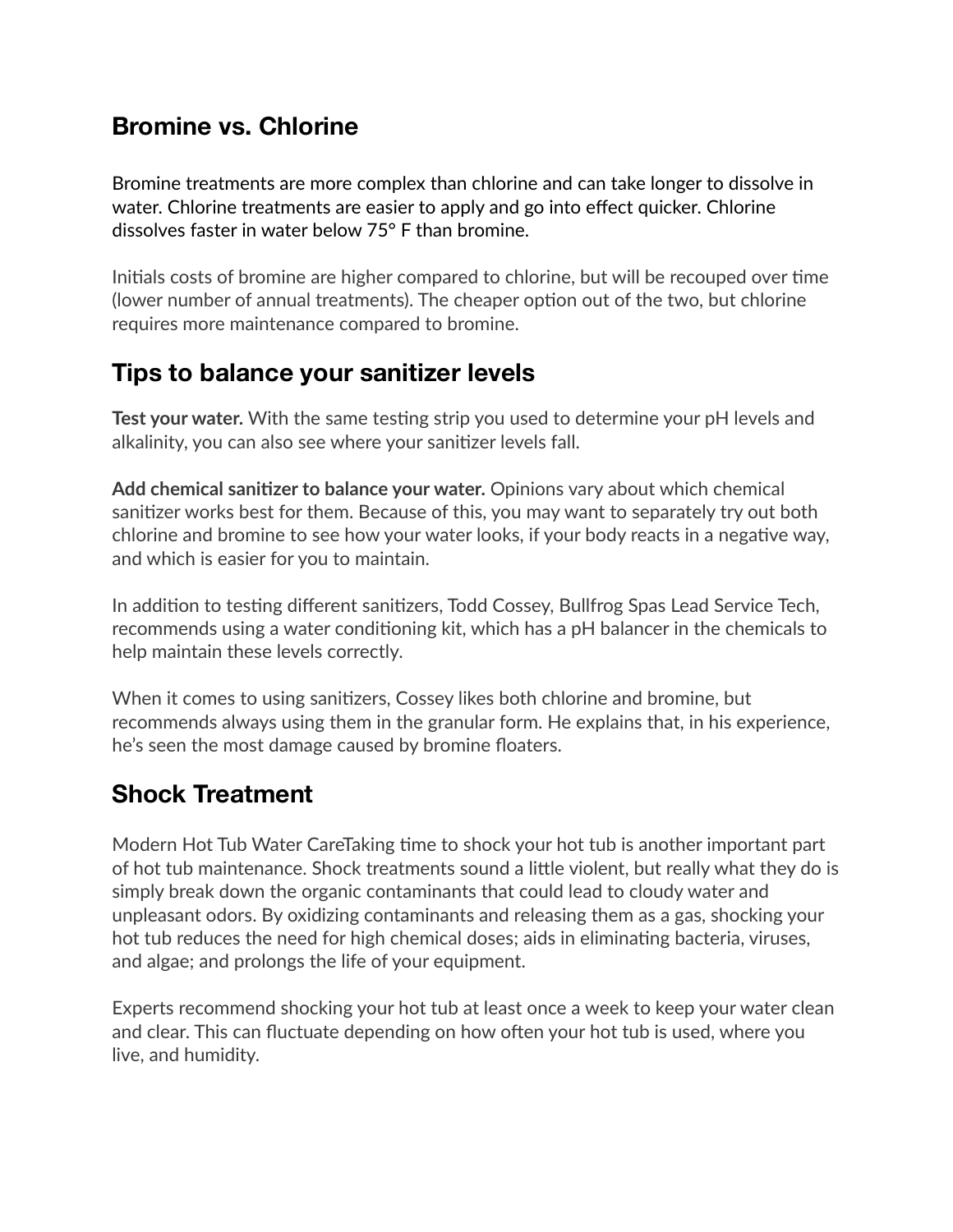#### **Bromine vs. Chlorine**

Bromine treatments are more complex than chlorine and can take longer to dissolve in water. Chlorine treatments are easier to apply and go into effect quicker. Chlorine dissolves faster in water below 75° F than bromine.

Initials costs of bromine are higher compared to chlorine, but will be recouped over time (lower number of annual treatments). The cheaper option out of the two, but chlorine requires more maintenance compared to bromine.

## **Tips to balance your sanitizer levels**

**Test your water.** With the same testing strip you used to determine your pH levels and alkalinity, you can also see where your sanitizer levels fall.

**Add chemical sanitizer to balance your water.** Opinions vary about which chemical sanitizer works best for them. Because of this, you may want to separately try out both chlorine and bromine to see how your water looks, if your body reacts in a negative way, and which is easier for you to maintain.

In addition to testing different sanitizers, Todd Cossey, Bullfrog Spas Lead Service Tech, recommends using a water conditioning kit, which has a pH balancer in the chemicals to help maintain these levels correctly.

When it comes to using sanitizers, Cossey likes both chlorine and bromine, but recommends always using them in the granular form. He explains that, in his experience, he's seen the most damage caused by bromine floaters.

## **Shock Treatment**

Modern Hot Tub Water CareTaking time to shock your hot tub is another important part of hot tub maintenance. Shock treatments sound a little violent, but really what they do is simply break down the organic contaminants that could lead to cloudy water and unpleasant odors. By oxidizing contaminants and releasing them as a gas, shocking your hot tub reduces the need for high chemical doses; aids in eliminating bacteria, viruses, and algae; and prolongs the life of your equipment.

Experts recommend shocking your hot tub at least once a week to keep your water clean and clear. This can fluctuate depending on how often your hot tub is used, where you live, and humidity.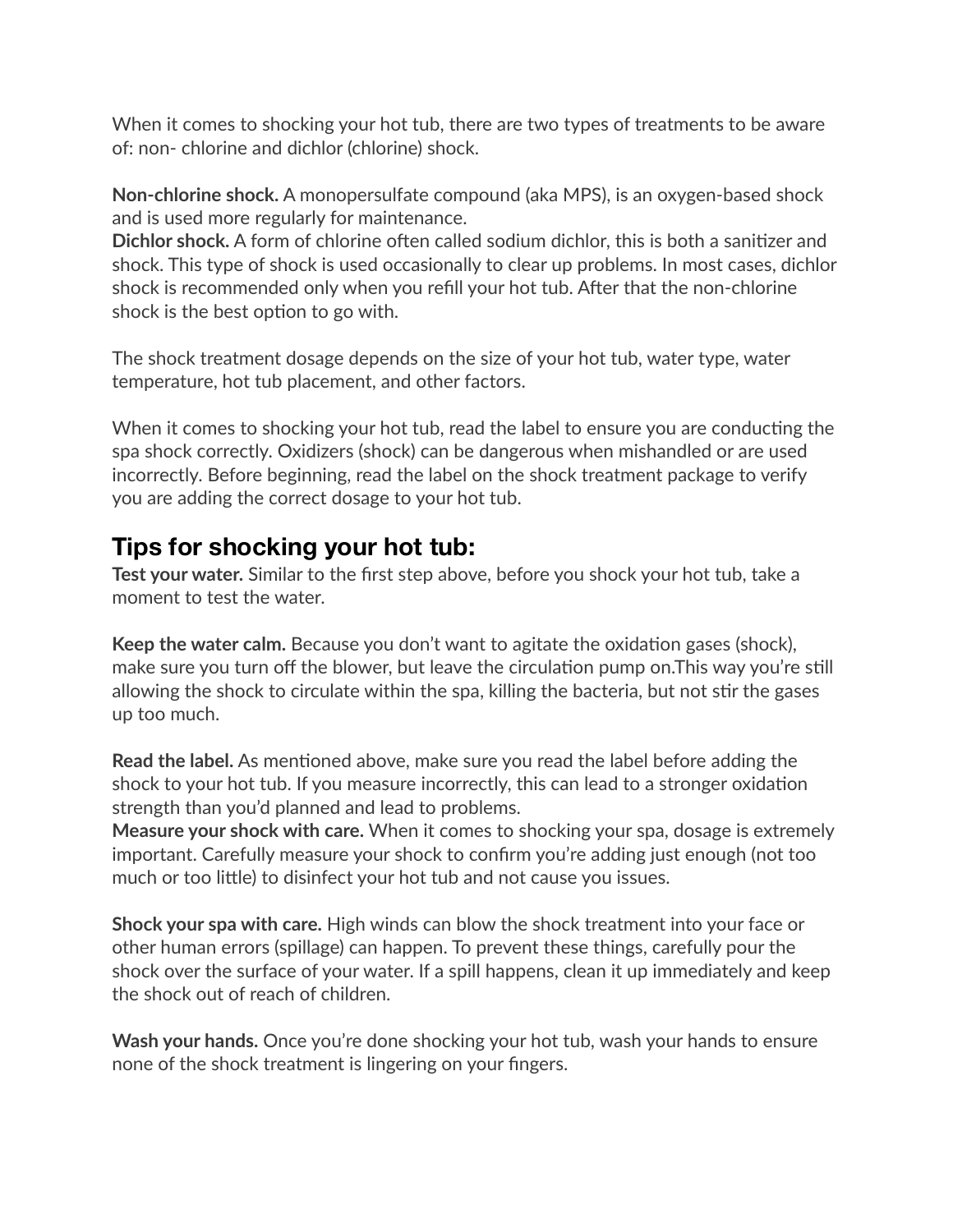When it comes to shocking your hot tub, there are two types of treatments to be aware of: non- chlorine and dichlor (chlorine) shock.

**Non-chlorine shock.** A monopersulfate compound (aka MPS), is an oxygen-based shock and is used more regularly for maintenance.

**Dichlor shock.** A form of chlorine often called sodium dichlor, this is both a sanitizer and shock. This type of shock is used occasionally to clear up problems. In most cases, dichlor shock is recommended only when you refill your hot tub. After that the non-chlorine shock is the best option to go with.

The shock treatment dosage depends on the size of your hot tub, water type, water temperature, hot tub placement, and other factors.

When it comes to shocking your hot tub, read the label to ensure you are conducting the spa shock correctly. Oxidizers (shock) can be dangerous when mishandled or are used incorrectly. Before beginning, read the label on the shock treatment package to verify you are adding the correct dosage to your hot tub.

#### **Tips for shocking your hot tub:**

**Test your water.** Similar to the first step above, before you shock your hot tub, take a moment to test the water.

**Keep the water calm.** Because you don't want to agitate the oxidation gases (shock), make sure you turn off the blower, but leave the circulation pump on.This way you're still allowing the shock to circulate within the spa, killing the bacteria, but not stir the gases up too much.

**Read the label.** As mentioned above, make sure you read the label before adding the shock to your hot tub. If you measure incorrectly, this can lead to a stronger oxidation strength than you'd planned and lead to problems.

**Measure your shock with care.** When it comes to shocking your spa, dosage is extremely important. Carefully measure your shock to confirm you're adding just enough (not too much or too little) to disinfect your hot tub and not cause you issues.

**Shock your spa with care.** High winds can blow the shock treatment into your face or other human errors (spillage) can happen. To prevent these things, carefully pour the shock over the surface of your water. If a spill happens, clean it up immediately and keep the shock out of reach of children.

**Wash your hands.** Once you're done shocking your hot tub, wash your hands to ensure none of the shock treatment is lingering on your fingers.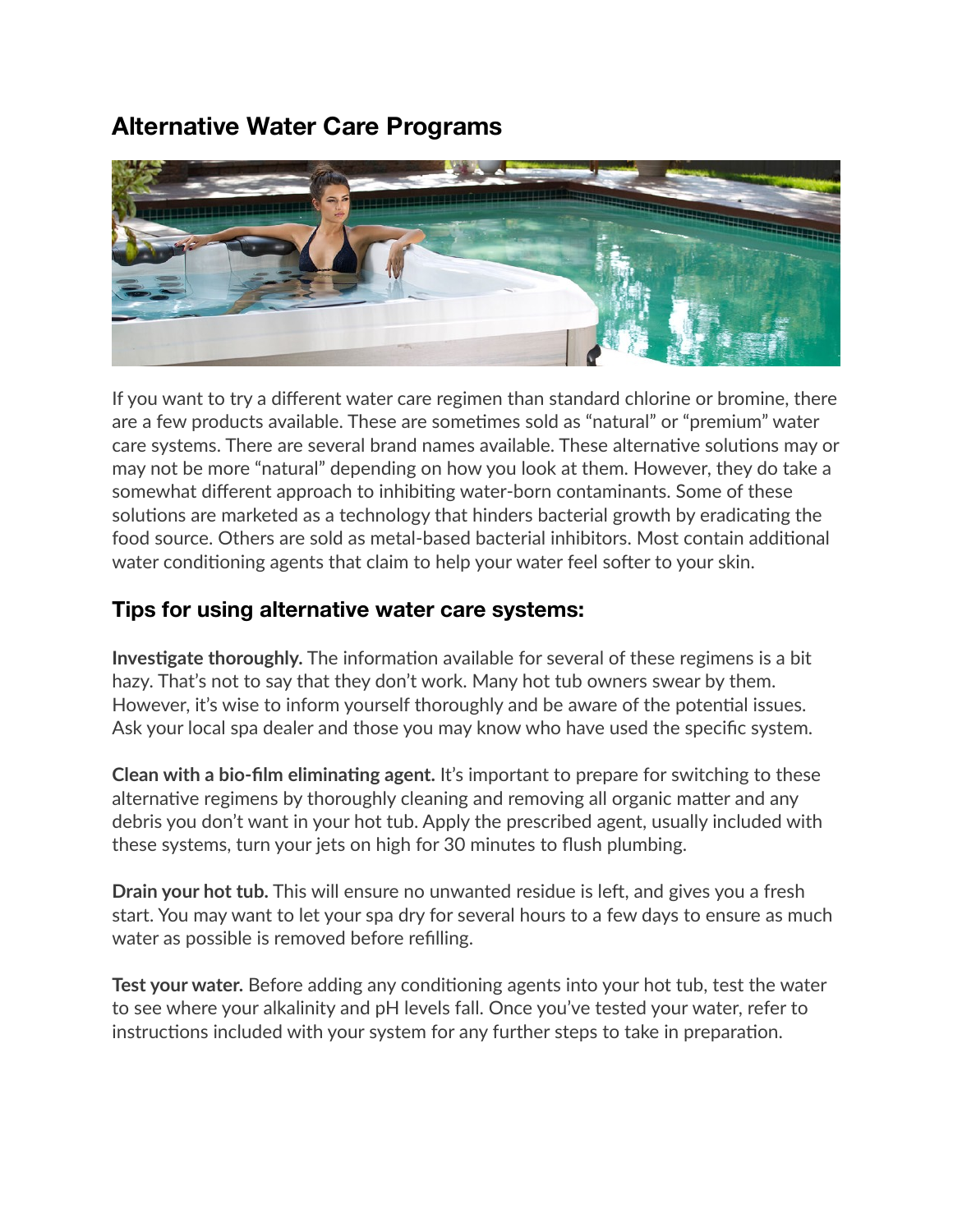## **Alternative Water Care Programs**



If you want to try a different water care regimen than standard chlorine or bromine, there are a few products available. These are sometimes sold as "natural" or "premium" water care systems. There are several brand names available. These alternative solutions may or may not be more "natural" depending on how you look at them. However, they do take a somewhat different approach to inhibiting water-born contaminants. Some of these solutions are marketed as a technology that hinders bacterial growth by eradicating the food source. Others are sold as metal-based bacterial inhibitors. Most contain additional water conditioning agents that claim to help your water feel softer to your skin.

#### **Tips for using alternative water care systems:**

**Investigate thoroughly.** The information available for several of these regimens is a bit hazy. That's not to say that they don't work. Many hot tub owners swear by them. However, it's wise to inform yourself thoroughly and be aware of the potential issues. Ask your local spa dealer and those you may know who have used the specific system.

**Clean with a bio-film eliminating agent.** It's important to prepare for switching to these alternative regimens by thoroughly cleaning and removing all organic matter and any debris you don't want in your hot tub. Apply the prescribed agent, usually included with these systems, turn your jets on high for 30 minutes to flush plumbing.

**Drain your hot tub.** This will ensure no unwanted residue is left, and gives you a fresh start. You may want to let your spa dry for several hours to a few days to ensure as much water as possible is removed before refilling.

**Test your water.** Before adding any conditioning agents into your hot tub, test the water to see where your alkalinity and pH levels fall. Once you've tested your water, refer to instructions included with your system for any further steps to take in preparation.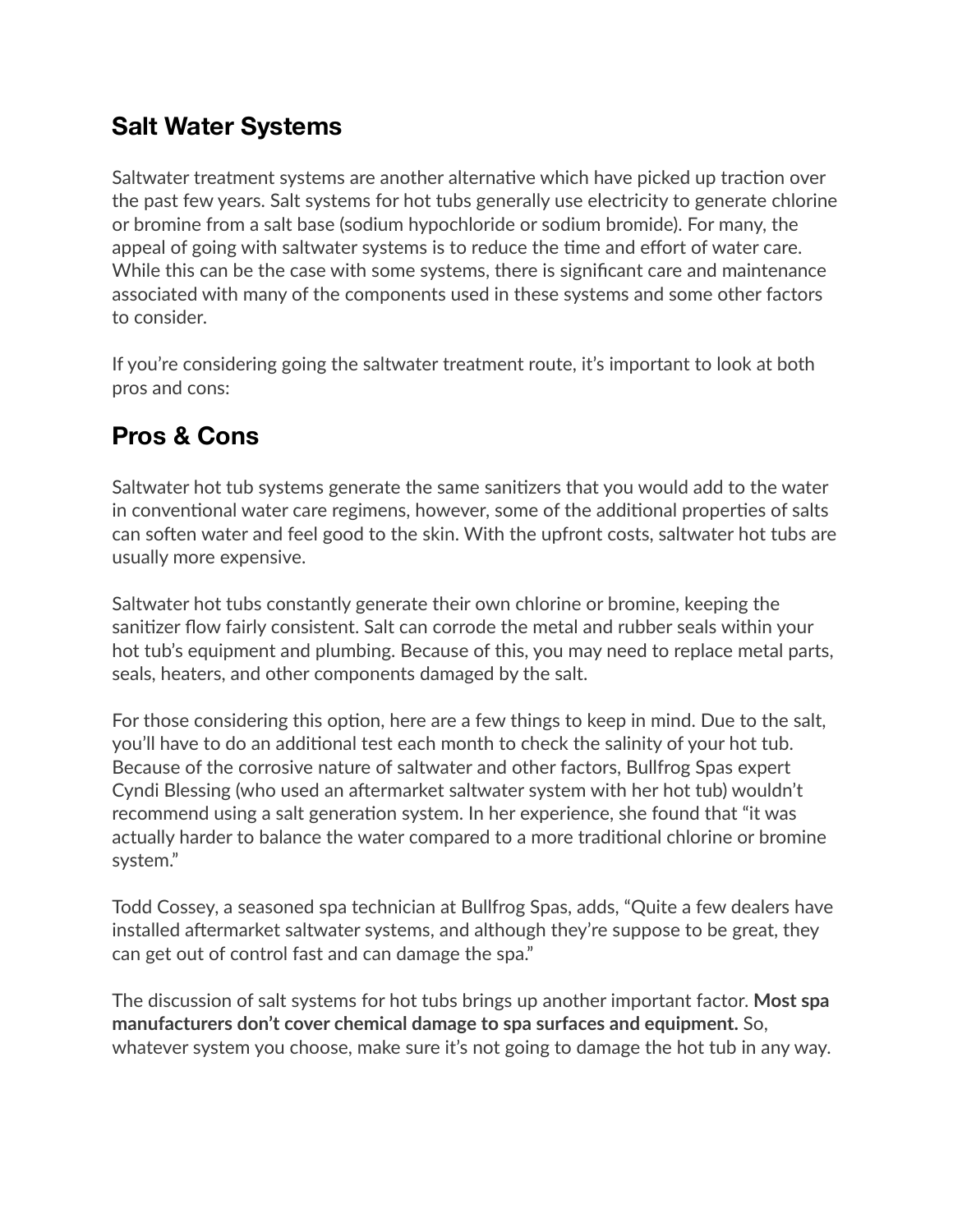## **Salt Water Systems**

Saltwater treatment systems are another alternative which have picked up traction over the past few years. Salt systems for hot tubs generally use electricity to generate chlorine or bromine from a salt base (sodium hypochloride or sodium bromide). For many, the appeal of going with saltwater systems is to reduce the time and effort of water care. While this can be the case with some systems, there is significant care and maintenance associated with many of the components used in these systems and some other factors to consider.

If you're considering going the saltwater treatment route, it's important to look at both pros and cons:

# **Pros & Cons**

Saltwater hot tub systems generate the same sanitizers that you would add to the water in conventional water care regimens, however, some of the additional properties of salts can soften water and feel good to the skin. With the upfront costs, saltwater hot tubs are usually more expensive.

Saltwater hot tubs constantly generate their own chlorine or bromine, keeping the sanitizer flow fairly consistent. Salt can corrode the metal and rubber seals within your hot tub's equipment and plumbing. Because of this, you may need to replace metal parts, seals, heaters, and other components damaged by the salt.

For those considering this option, here are a few things to keep in mind. Due to the salt, you'll have to do an additional test each month to check the salinity of your hot tub. Because of the corrosive nature of saltwater and other factors, Bullfrog Spas expert Cyndi Blessing (who used an aftermarket saltwater system with her hot tub) wouldn't recommend using a salt generation system. In her experience, she found that "it was actually harder to balance the water compared to a more traditional chlorine or bromine system."

Todd Cossey, a seasoned spa technician at Bullfrog Spas, adds, "Quite a few dealers have installed aftermarket saltwater systems, and although they're suppose to be great, they can get out of control fast and can damage the spa."

The discussion of salt systems for hot tubs brings up another important factor. **Most spa manufacturers don't cover chemical damage to spa surfaces and equipment.** So, whatever system you choose, make sure it's not going to damage the hot tub in any way.